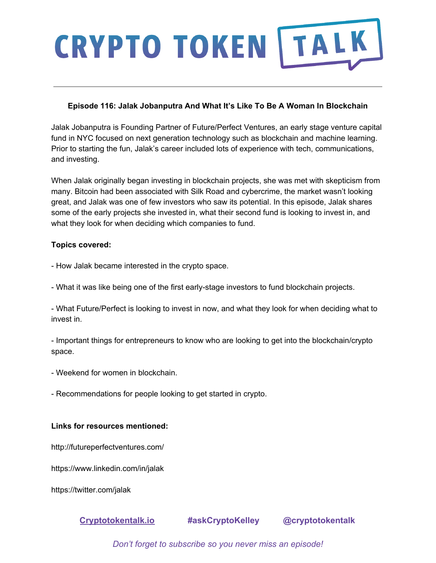# **CRYPTO TOKEN | TALK**

## **Episode 116: Jalak Jobanputra And What It's Like To Be A Woman In Blockchain**

Jalak Jobanputra is Founding Partner of Future/Perfect Ventures, an early stage venture capital fund in NYC focused on next generation technology such as blockchain and machine learning. Prior to starting the fun, Jalak's career included lots of experience with tech, communications, and investing.

When Jalak originally began investing in blockchain projects, she was met with skepticism from many. Bitcoin had been associated with Silk Road and cybercrime, the market wasn't looking great, and Jalak was one of few investors who saw its potential. In this episode, Jalak shares some of the early projects she invested in, what their second fund is looking to invest in, and what they look for when deciding which companies to fund.

### **Topics covered:**

- How Jalak became interested in the crypto space.

- What it was like being one of the first early-stage investors to fund blockchain projects.

- What Future/Perfect is looking to invest in now, and what they look for when deciding what to invest in.

- Important things for entrepreneurs to know who are looking to get into the blockchain/crypto space.

- Weekend for women in blockchain.
- Recommendations for people looking to get started in crypto.

### **Links for resources mentioned:**

http://futureperfectventures.com/

https://www.linkedin.com/in/jalak

https://twitter.com/jalak

**[Cryptotokentalk.io](https://cryptotokentalk.io/) #askCryptoKelley @cryptotokentalk**

*Don't forget to subscribe so you never miss an episode!*